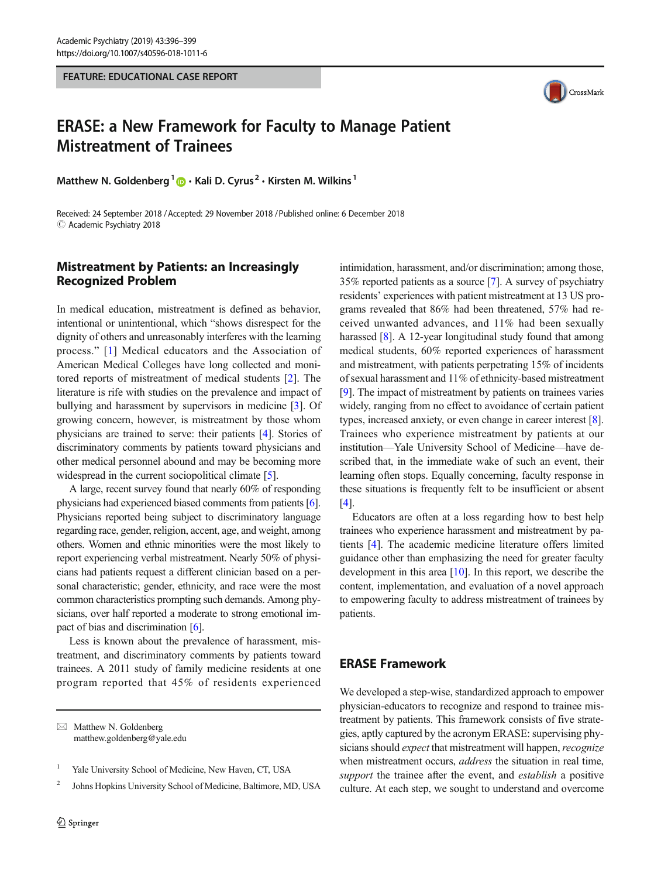FEATURE: EDUCATIONAL CASE REPORT



# ERASE: a New Framework for Faculty to Manage Patient Mistreatment of Trainees

Matthew N. Goldenberg<sup>1</sup>  $\mathbf{D} \cdot$  Kali D. Cyrus<sup>2</sup>  $\cdot$  Kirsten M. Wilkins<sup>1</sup>

Received: 24 September 2018 /Accepted: 29 November 2018 /Published online: 6 December 2018  $\odot$  Academic Psychiatry 2018

## Mistreatment by Patients: an Increasingly Recognized Problem

In medical education, mistreatment is defined as behavior, intentional or unintentional, which "shows disrespect for the dignity of others and unreasonably interferes with the learning process." [[1](#page-3-0)] Medical educators and the Association of American Medical Colleges have long collected and monitored reports of mistreatment of medical students [\[2](#page-3-0)]. The literature is rife with studies on the prevalence and impact of bullying and harassment by supervisors in medicine [\[3\]](#page-3-0). Of growing concern, however, is mistreatment by those whom physicians are trained to serve: their patients [[4\]](#page-3-0). Stories of discriminatory comments by patients toward physicians and other medical personnel abound and may be becoming more widespread in the current sociopolitical climate [[5\]](#page-3-0).

A large, recent survey found that nearly 60% of responding physicians had experienced biased comments from patients [\[6\]](#page-3-0). Physicians reported being subject to discriminatory language regarding race, gender, religion, accent, age, and weight, among others. Women and ethnic minorities were the most likely to report experiencing verbal mistreatment. Nearly 50% of physicians had patients request a different clinician based on a personal characteristic; gender, ethnicity, and race were the most common characteristics prompting such demands. Among physicians, over half reported a moderate to strong emotional impact of bias and discrimination [\[6\]](#page-3-0).

Less is known about the prevalence of harassment, mistreatment, and discriminatory comments by patients toward trainees. A 2011 study of family medicine residents at one program reported that 45% of residents experienced

- <sup>1</sup> Yale University School of Medicine, New Haven, CT, USA
- <sup>2</sup> Johns Hopkins University School of Medicine, Baltimore, MD, USA

intimidation, harassment, and/or discrimination; among those, 35% reported patients as a source [\[7](#page-3-0)]. A survey of psychiatry residents' experiences with patient mistreatment at 13 US programs revealed that 86% had been threatened, 57% had received unwanted advances, and 11% had been sexually harassed [\[8](#page-3-0)]. A 12-year longitudinal study found that among medical students, 60% reported experiences of harassment and mistreatment, with patients perpetrating 15% of incidents of sexual harassment and 11% of ethnicity-based mistreatment [\[9](#page-3-0)]. The impact of mistreatment by patients on trainees varies widely, ranging from no effect to avoidance of certain patient types, increased anxiety, or even change in career interest [[8\]](#page-3-0). Trainees who experience mistreatment by patients at our institution—Yale University School of Medicine—have described that, in the immediate wake of such an event, their learning often stops. Equally concerning, faculty response in these situations is frequently felt to be insufficient or absent [\[4](#page-3-0)].

Educators are often at a loss regarding how to best help trainees who experience harassment and mistreatment by patients [[4\]](#page-3-0). The academic medicine literature offers limited guidance other than emphasizing the need for greater faculty development in this area [[10](#page-3-0)]. In this report, we describe the content, implementation, and evaluation of a novel approach to empowering faculty to address mistreatment of trainees by patients.

#### ERASE Framework

We developed a step-wise, standardized approach to empower physician-educators to recognize and respond to trainee mistreatment by patients. This framework consists of five strategies, aptly captured by the acronym ERASE: supervising physicians should *expect* that mistreatment will happen, *recognize* when mistreatment occurs, *address* the situation in real time, support the trainee after the event, and *establish* a positive culture. At each step, we sought to understand and overcome

 $\boxtimes$  Matthew N. Goldenberg [matthew.goldenberg@yale.edu](mailto:matthew.goldenberg@yale.edu)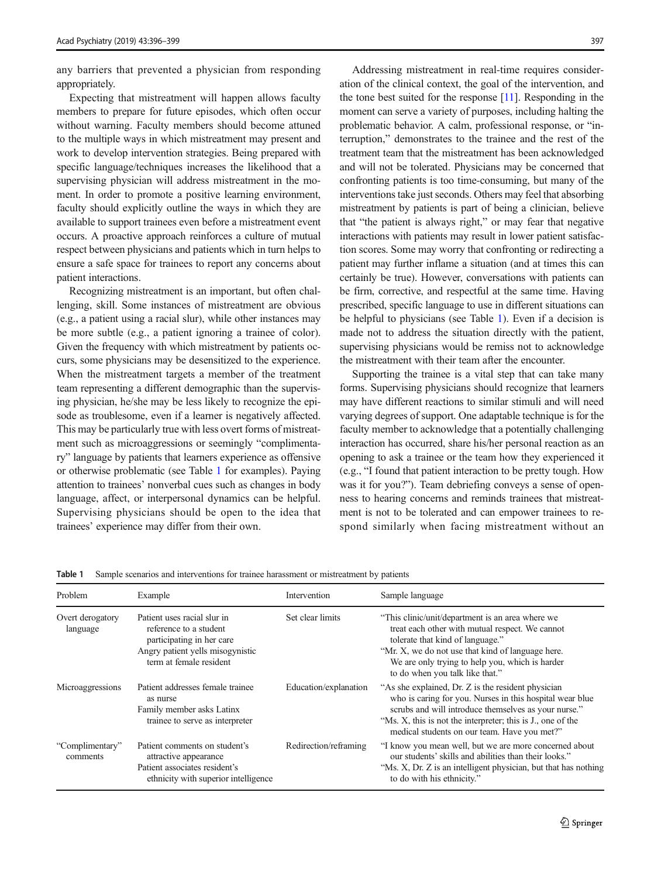<span id="page-1-0"></span>any barriers that prevented a physician from responding appropriately.

Expecting that mistreatment will happen allows faculty members to prepare for future episodes, which often occur without warning. Faculty members should become attuned to the multiple ways in which mistreatment may present and work to develop intervention strategies. Being prepared with specific language/techniques increases the likelihood that a supervising physician will address mistreatment in the moment. In order to promote a positive learning environment, faculty should explicitly outline the ways in which they are available to support trainees even before a mistreatment event occurs. A proactive approach reinforces a culture of mutual respect between physicians and patients which in turn helps to ensure a safe space for trainees to report any concerns about patient interactions.

Recognizing mistreatment is an important, but often challenging, skill. Some instances of mistreatment are obvious (e.g., a patient using a racial slur), while other instances may be more subtle (e.g., a patient ignoring a trainee of color). Given the frequency with which mistreatment by patients occurs, some physicians may be desensitized to the experience. When the mistreatment targets a member of the treatment team representing a different demographic than the supervising physician, he/she may be less likely to recognize the episode as troublesome, even if a learner is negatively affected. This may be particularly true with less overt forms of mistreatment such as microaggressions or seemingly "complimentary" language by patients that learners experience as offensive or otherwise problematic (see Table 1 for examples). Paying attention to trainees' nonverbal cues such as changes in body language, affect, or interpersonal dynamics can be helpful. Supervising physicians should be open to the idea that trainees' experience may differ from their own.

Addressing mistreatment in real-time requires consideration of the clinical context, the goal of the intervention, and the tone best suited for the response [\[11\]](#page-3-0). Responding in the moment can serve a variety of purposes, including halting the problematic behavior. A calm, professional response, or "interruption," demonstrates to the trainee and the rest of the treatment team that the mistreatment has been acknowledged and will not be tolerated. Physicians may be concerned that confronting patients is too time-consuming, but many of the interventions take just seconds. Others may feel that absorbing mistreatment by patients is part of being a clinician, believe that "the patient is always right," or may fear that negative interactions with patients may result in lower patient satisfaction scores. Some may worry that confronting or redirecting a patient may further inflame a situation (and at times this can certainly be true). However, conversations with patients can be firm, corrective, and respectful at the same time. Having prescribed, specific language to use in different situations can be helpful to physicians (see Table 1). Even if a decision is made not to address the situation directly with the patient, supervising physicians would be remiss not to acknowledge the mistreatment with their team after the encounter.

Supporting the trainee is a vital step that can take many forms. Supervising physicians should recognize that learners may have different reactions to similar stimuli and will need varying degrees of support. One adaptable technique is for the faculty member to acknowledge that a potentially challenging interaction has occurred, share his/her personal reaction as an opening to ask a trainee or the team how they experienced it (e.g., "I found that patient interaction to be pretty tough. How was it for you?"). Team debriefing conveys a sense of openness to hearing concerns and reminds trainees that mistreatment is not to be tolerated and can empower trainees to respond similarly when facing mistreatment without an

| Problem                      | Example                                                                                                                                           | Intervention          | Sample language                                                                                                                                                                                                                                                                       |
|------------------------------|---------------------------------------------------------------------------------------------------------------------------------------------------|-----------------------|---------------------------------------------------------------------------------------------------------------------------------------------------------------------------------------------------------------------------------------------------------------------------------------|
| Overt derogatory<br>language | Patient uses racial slur in<br>reference to a student<br>participating in her care<br>Angry patient yells misogynistic<br>term at female resident | Set clear limits      | "This clinic/unit/department is an area where we<br>treat each other with mutual respect. We cannot<br>tolerate that kind of language."<br>"Mr. X, we do not use that kind of language here.<br>We are only trying to help you, which is harder<br>to do when you talk like that."    |
| Microaggressions             | Patient addresses female trainee<br>as nurse<br>Family member asks Latinx<br>trainee to serve as interpreter                                      | Education/explanation | "As she explained, Dr. Z is the resident physician<br>who is caring for you. Nurses in this hospital wear blue<br>scrubs and will introduce themselves as your nurse."<br>"Ms. X, this is not the interpreter; this is J., one of the<br>medical students on our team. Have you met?" |
| "Complimentary"<br>comments  | Patient comments on student's<br>attractive appearance<br>Patient associates resident's<br>ethnicity with superior intelligence                   | Redirection/reframing | "I know you mean well, but we are more concerned about<br>our students' skills and abilities than their looks."<br>"Ms. X, Dr. Z is an intelligent physician, but that has nothing<br>to do with his ethnicity."                                                                      |

Table 1 Sample scenarios and interventions for trainee harassment or mistreatment by patients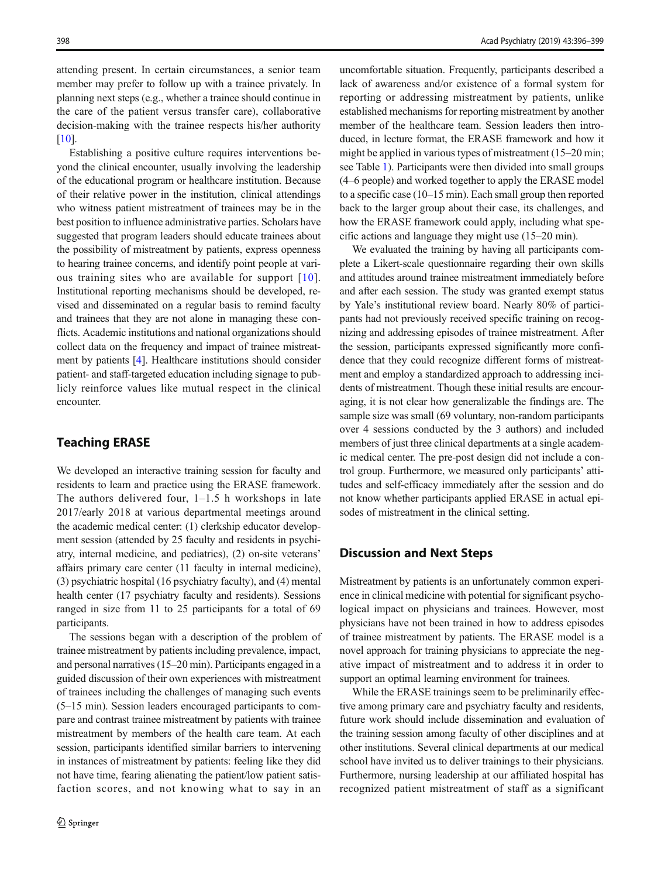attending present. In certain circumstances, a senior team member may prefer to follow up with a trainee privately. In planning next steps (e.g., whether a trainee should continue in the care of the patient versus transfer care), collaborative decision-making with the trainee respects his/her authority [\[10\]](#page-3-0).

Establishing a positive culture requires interventions beyond the clinical encounter, usually involving the leadership of the educational program or healthcare institution. Because of their relative power in the institution, clinical attendings who witness patient mistreatment of trainees may be in the best position to influence administrative parties. Scholars have suggested that program leaders should educate trainees about the possibility of mistreatment by patients, express openness to hearing trainee concerns, and identify point people at various training sites who are available for support [[10](#page-3-0)]. Institutional reporting mechanisms should be developed, revised and disseminated on a regular basis to remind faculty and trainees that they are not alone in managing these conflicts. Academic institutions and national organizations should collect data on the frequency and impact of trainee mistreatment by patients [[4\]](#page-3-0). Healthcare institutions should consider patient- and staff-targeted education including signage to publicly reinforce values like mutual respect in the clinical encounter.

### Teaching ERASE

We developed an interactive training session for faculty and residents to learn and practice using the ERASE framework. The authors delivered four, 1–1.5 h workshops in late 2017/early 2018 at various departmental meetings around the academic medical center: (1) clerkship educator development session (attended by 25 faculty and residents in psychiatry, internal medicine, and pediatrics), (2) on-site veterans' affairs primary care center (11 faculty in internal medicine), (3) psychiatric hospital (16 psychiatry faculty), and (4) mental health center (17 psychiatry faculty and residents). Sessions ranged in size from 11 to 25 participants for a total of 69 participants.

The sessions began with a description of the problem of trainee mistreatment by patients including prevalence, impact, and personal narratives (15–20 min). Participants engaged in a guided discussion of their own experiences with mistreatment of trainees including the challenges of managing such events (5–15 min). Session leaders encouraged participants to compare and contrast trainee mistreatment by patients with trainee mistreatment by members of the health care team. At each session, participants identified similar barriers to intervening in instances of mistreatment by patients: feeling like they did not have time, fearing alienating the patient/low patient satisfaction scores, and not knowing what to say in an

uncomfortable situation. Frequently, participants described a lack of awareness and/or existence of a formal system for reporting or addressing mistreatment by patients, unlike established mechanisms for reporting mistreatment by another member of the healthcare team. Session leaders then introduced, in lecture format, the ERASE framework and how it might be applied in various types of mistreatment (15–20 min; see Table [1\)](#page-1-0). Participants were then divided into small groups (4–6 people) and worked together to apply the ERASE model to a specific case (10–15 min). Each small group then reported back to the larger group about their case, its challenges, and how the ERASE framework could apply, including what specific actions and language they might use (15–20 min).

We evaluated the training by having all participants complete a Likert-scale questionnaire regarding their own skills and attitudes around trainee mistreatment immediately before and after each session. The study was granted exempt status by Yale's institutional review board. Nearly 80% of participants had not previously received specific training on recognizing and addressing episodes of trainee mistreatment. After the session, participants expressed significantly more confidence that they could recognize different forms of mistreatment and employ a standardized approach to addressing incidents of mistreatment. Though these initial results are encouraging, it is not clear how generalizable the findings are. The sample size was small (69 voluntary, non-random participants over 4 sessions conducted by the 3 authors) and included members of just three clinical departments at a single academic medical center. The pre-post design did not include a control group. Furthermore, we measured only participants' attitudes and self-efficacy immediately after the session and do not know whether participants applied ERASE in actual episodes of mistreatment in the clinical setting.

### Discussion and Next Steps

Mistreatment by patients is an unfortunately common experience in clinical medicine with potential for significant psychological impact on physicians and trainees. However, most physicians have not been trained in how to address episodes of trainee mistreatment by patients. The ERASE model is a novel approach for training physicians to appreciate the negative impact of mistreatment and to address it in order to support an optimal learning environment for trainees.

While the ERASE trainings seem to be preliminarily effective among primary care and psychiatry faculty and residents, future work should include dissemination and evaluation of the training session among faculty of other disciplines and at other institutions. Several clinical departments at our medical school have invited us to deliver trainings to their physicians. Furthermore, nursing leadership at our affiliated hospital has recognized patient mistreatment of staff as a significant